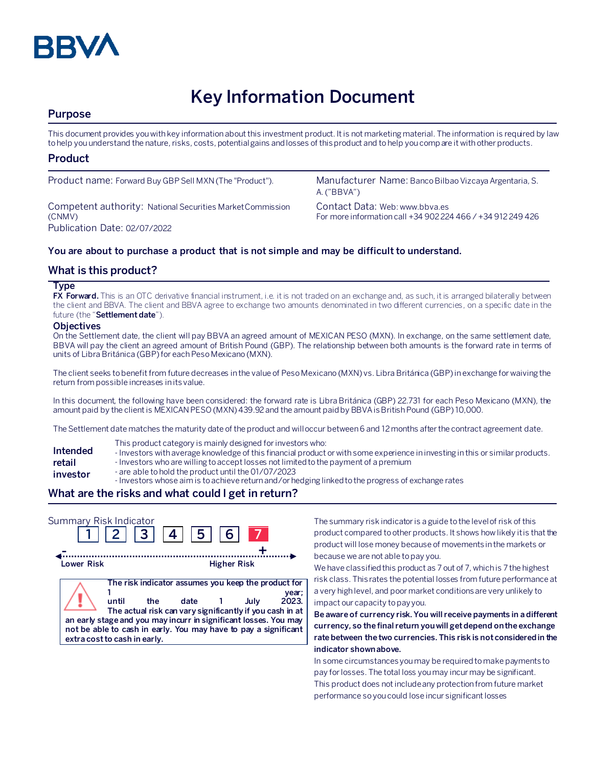

# **Key Information Document**

## **Purpose**

This document provides you with key information about this investment product. It is not marketing material. The information is required by law to help you understand the nature, risks, costs, potential gains and losses of this product and to help you compare it with other products.

## **Product**

Competent authority: National Securities Market Commission (CNMV) Publication Date: 02/07/2022

Product name: Forward Buy GBP Sell MXN (The "Product"). Manufacturer Name: Banco Bilbao Vizcaya Argentaria, S. A. ("BBVA")

> Contact Data: Web: www.bbva.es For more information call +34 902 224 466 / +34 912 249 426

### **You are about to purchase a product that is not simple and may be difficult to understand.**

## **What is this product?**

#### **Type**

**FX Forward.** This is an OTC derivative financial instrument, i.e. it is not traded on an exchange and, as such, it is arranged bilaterally between the client and BBVA. The client and BBVA agree to exchange two amounts denominated in two different currencies, on a specific date in the future (the "**Settlement date**").

#### **Objectives**

On the Settlement date, the client will pay BBVA an agreed amount of MEXICAN PESO (MXN). In exchange, on the same settlement date, BBVA will pay the client an agreed amount of British Pound (GBP). The relationship between both amounts is the forward rate in terms of units of Libra Británica (GBP)for each Peso Mexicano (MXN).

The client seeks to benefit from future decreases in the value of Peso Mexicano (MXN) vs. Libra Británica (GBP) in exchange for waiving the return from possible increases in its value.

In this document, the following have been considered: the forward rate is Libra Británica (GBP) 22.731 for each Peso Mexicano (MXN), the amount paid by the client is MEXICAN PESO (MXN)439.92 and the amount paidby BBVA isBritish Pound (GBP) 10,000.

The Settlement date matches the maturity date of the product and will occur between 6 and 12 months after the contract agreement date.

- This product category is mainly designed for investors who:
- **Intended**  - Investors with average knowledge of this financial product or with some experience in investing in this or similar products.
- **retail**  - Investors who are willing to accept losses not limited to the payment of a premium
- **investor** - are able to hold the product until the 01/07/2023
	- Investors whose aim is to achieve return and/or hedging linked to the progress of exchange rates

#### **What are the risks and what could I get in return?**



The summary risk indicator is a guide to the level of risk of this product compared to other products. It shows how likely it is that the product will lose money because of movements in the markets or because we are not able to pay you.

We have classified this product as 7 out of 7, which is 7 the highest risk class. This rates the potential losses from future performance at a very high level, and poor market conditions are very unlikely to impact our capacity to pay you.

**Be aware of currency risk. You will receive payments in a different currency, so the final return you will get depend on the exchange rate between the two currencies. This risk is not considered in the indicator shown above.**

In some circumstances you may be required to make payments to pay for losses. The total loss you may incur may be significant. This product does not include any protection from future market performance so you could lose incur significant losses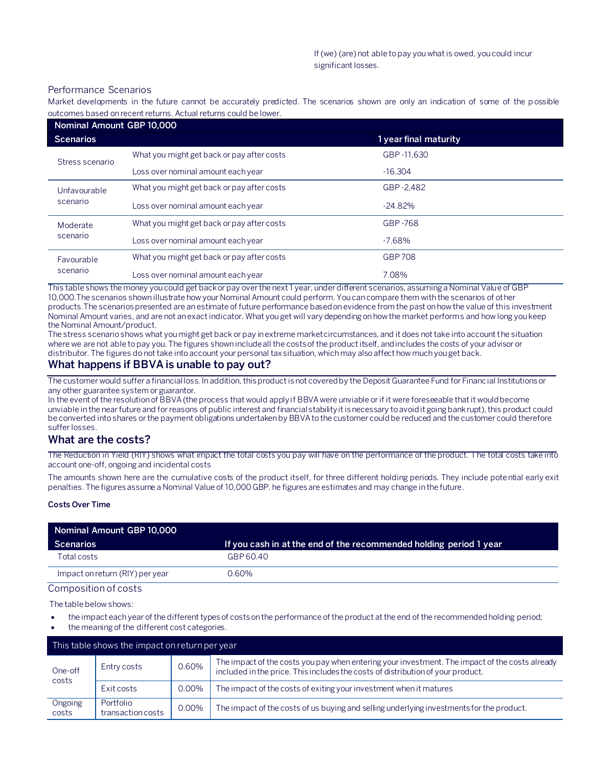#### Performance Scenarios

Market developments in the future cannot be accurately predicted. The scenarios shown are only an indication of some of the p ossible outcomes based on recent returns. Actual returns could be lower.

| Nominal Amount GBP 10,000 |                                            |                       |  |
|---------------------------|--------------------------------------------|-----------------------|--|
| <b>Scenarios</b>          |                                            | 1 year final maturity |  |
| Stress scenario           | What you might get back or pay after costs | GBP-11.630            |  |
|                           | Loss over nominal amount each year         | $-16.304$             |  |
| Unfavourable<br>scenario  | What you might get back or pay after costs | GBP-2.482             |  |
|                           | Loss over nominal amount each year         | $-24.82%$             |  |
| Moderate<br>scenario      | What you might get back or pay after costs | GBP-768               |  |
|                           | Loss over nominal amount each year         | $-7.68\%$             |  |
| Favourable<br>scenario    | What you might get back or pay after costs | <b>GBP 708</b>        |  |
|                           | Loss over nominal amount each year         | 7.08%                 |  |

This table shows the money you could get back or pay over the next 1 year, under different scenarios, assuming a Nominal Value of GBP 10,000.The scenarios shown illustrate how your Nominal Amount could perform. You can compare them with the scenarios of other products.The scenarios presented are an estimate of future performance based on evidence from the past on how the value of this investment Nominal Amount varies, and are not an exact indicator. What you get will vary depending on how the market performs and how long you keep the Nominal Amount/product.

The stress scenario shows what you might get back or pay in extreme market circumstances, and it does not take into account the situation where we are not able to pay you. The figures shown include all the costs of the product itself, and includes the costs of your advisor or distributor. The figures do not take into account your personal tax situation, which may also affect how much you get back.

## **What happens if BBVA is unable to pay out?**

The customer would suffer a financial loss. In addition, this product is not covered by the Deposit Guarantee Fund for Financial Institutions or any other guarantee system or guarantor.

In the event of the resolution of BBVA (the process that would apply if BBVA were unviable or if it were foreseeable that it would become unviable in the near future and for reasons of public interest and financial stability it is necessary to avoid it going bankrupt), this product could be converted into shares or the payment obligations undertaken by BBVA to the customer could be reduced and the customer could therefore suffer losses.

## **What are the costs?**

The Reduction in Yield (RIY) shows what impact the total costs you pay will have on the performance of the product. The total costs take into account one-off, ongoing and incidental costs

The amounts shown here are the cumulative costs of the product itself, for three different holding periods. They include potential early exit penalties. The figures assume a Nominal Value of 10,000 GBP. he figures are estimates and may change in the future.

#### **Costs Over Time**

| Nominal Amount GBP 10,000       |                                                                    |  |  |  |  |
|---------------------------------|--------------------------------------------------------------------|--|--|--|--|
| Scenarios                       | If you cash in at the end of the recommended holding period 1 year |  |  |  |  |
| Total costs                     | GBP 60.40                                                          |  |  |  |  |
| Impact on return (RIY) per year | 0.60%                                                              |  |  |  |  |

Composition of costs

The table below shows:

- the impact each year of the different types of costs on the performance of the product at the end of the recommended holding period;
- the meaning of the different cost categories.

| This table shows the impact on return per year |                                |       |                                                                                                                                                                                   |  |  |  |
|------------------------------------------------|--------------------------------|-------|-----------------------------------------------------------------------------------------------------------------------------------------------------------------------------------|--|--|--|
| One-off<br>costs                               | Entry costs                    | 0.60% | The impact of the costs you pay when entering your investment. The impact of the costs already<br>included in the price. This includes the costs of distribution of your product. |  |  |  |
|                                                | Exit costs                     | 0.00% | The impact of the costs of exiting your investment when it matures                                                                                                                |  |  |  |
| Ongoing<br>costs                               | Portfolio<br>transaction costs | 0.00% | The impact of the costs of us buying and selling underlying investments for the product.                                                                                          |  |  |  |